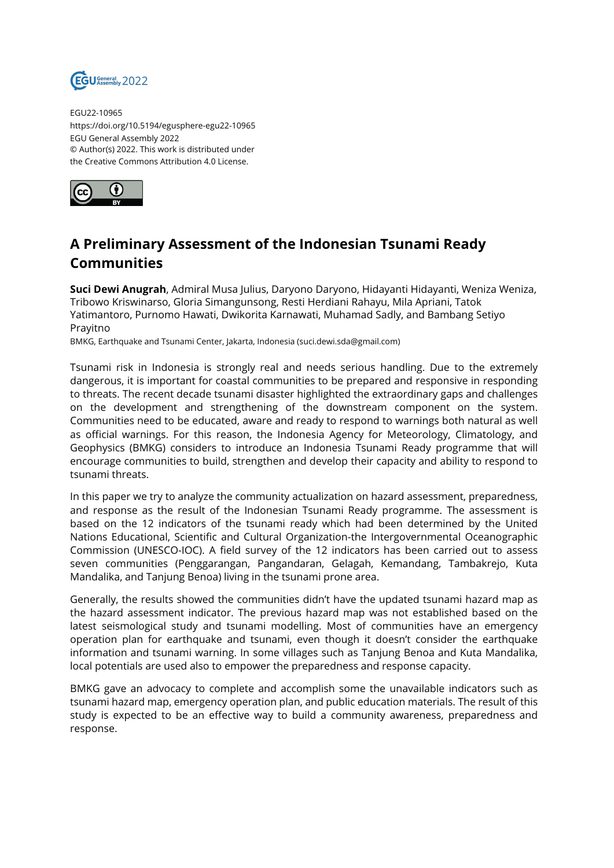

EGU22-10965 https://doi.org/10.5194/egusphere-egu22-10965 EGU General Assembly 2022 © Author(s) 2022. This work is distributed under the Creative Commons Attribution 4.0 License.



## **A Preliminary Assessment of the Indonesian Tsunami Ready Communities**

**Suci Dewi Anugrah**, Admiral Musa Julius, Daryono Daryono, Hidayanti Hidayanti, Weniza Weniza, Tribowo Kriswinarso, Gloria Simangunsong, Resti Herdiani Rahayu, Mila Apriani, Tatok Yatimantoro, Purnomo Hawati, Dwikorita Karnawati, Muhamad Sadly, and Bambang Setiyo Prayitno

BMKG, Earthquake and Tsunami Center, Jakarta, Indonesia (suci.dewi.sda@gmail.com)

Tsunami risk in Indonesia is strongly real and needs serious handling. Due to the extremely dangerous, it is important for coastal communities to be prepared and responsive in responding to threats. The recent decade tsunami disaster highlighted the extraordinary gaps and challenges on the development and strengthening of the downstream component on the system. Communities need to be educated, aware and ready to respond to warnings both natural as well as official warnings. For this reason, the Indonesia Agency for Meteorology, Climatology, and Geophysics (BMKG) considers to introduce an Indonesia Tsunami Ready programme that will encourage communities to build, strengthen and develop their capacity and ability to respond to tsunami threats.

In this paper we try to analyze the community actualization on hazard assessment, preparedness, and response as the result of the Indonesian Tsunami Ready programme. The assessment is based on the 12 indicators of the tsunami ready which had been determined by the United Nations Educational, Scientific and Cultural Organization-the Intergovernmental Oceanographic Commission (UNESCO-IOC). A field survey of the 12 indicators has been carried out to assess seven communities (Penggarangan, Pangandaran, Gelagah, Kemandang, Tambakrejo, Kuta Mandalika, and Tanjung Benoa) living in the tsunami prone area.

Generally, the results showed the communities didn't have the updated tsunami hazard map as the hazard assessment indicator. The previous hazard map was not established based on the latest seismological study and tsunami modelling. Most of communities have an emergency operation plan for earthquake and tsunami, even though it doesn't consider the earthquake information and tsunami warning. In some villages such as Tanjung Benoa and Kuta Mandalika, local potentials are used also to empower the preparedness and response capacity.

BMKG gave an advocacy to complete and accomplish some the unavailable indicators such as tsunami hazard map, emergency operation plan, and public education materials. The result of this study is expected to be an effective way to build a community awareness, preparedness and response.